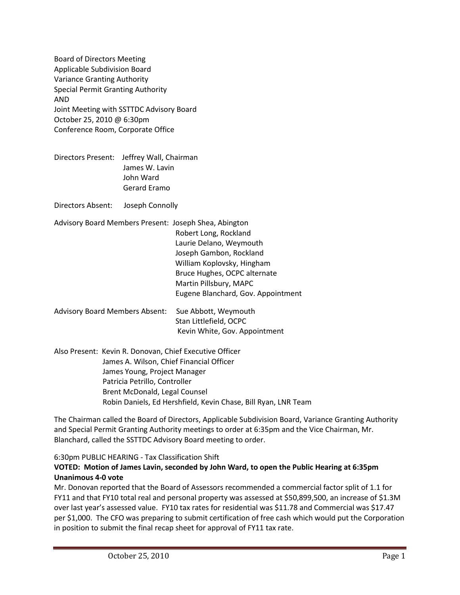Board of Directors Meeting Applicable Subdivision Board Variance Granting Authority Special Permit Granting Authority AND Joint Meeting with SSTTDC Advisory Board October 25, 2010 @ 6:30pm Conference Room, Corporate Office

Directors Present: Jeffrey Wall, Chairman James W. Lavin John Ward Gerard Eramo

Directors Absent: Joseph Connolly

| Advisory Board Members Present: Joseph Shea, Abington |                                    |
|-------------------------------------------------------|------------------------------------|
|                                                       | Robert Long, Rockland              |
|                                                       | Laurie Delano, Weymouth            |
|                                                       | Joseph Gambon, Rockland            |
|                                                       | William Koplovsky, Hingham         |
|                                                       | Bruce Hughes, OCPC alternate       |
|                                                       | Martin Pillsbury, MAPC             |
|                                                       | Eugene Blanchard, Gov. Appointment |
|                                                       |                                    |

Advisory Board Members Absent: Sue Abbott, Weymouth Stan Littlefield, OCPC Kevin White, Gov. Appointment

Also Present: Kevin R. Donovan, Chief Executive Officer James A. Wilson, Chief Financial Officer James Young, Project Manager Patricia Petrillo, Controller Brent McDonald, Legal Counsel Robin Daniels, Ed Hershfield, Kevin Chase, Bill Ryan, LNR Team

The Chairman called the Board of Directors, Applicable Subdivision Board, Variance Granting Authority and Special Permit Granting Authority meetings to order at 6:35pm and the Vice Chairman, Mr. Blanchard, called the SSTTDC Advisory Board meeting to order.

6:30pm PUBLIC HEARING - Tax Classification Shift

## **VOTED: Motion of James Lavin, seconded by John Ward, to open the Public Hearing at 6:35pm Unanimous 4-0 vote**

Mr. Donovan reported that the Board of Assessors recommended a commercial factor split of 1.1 for FY11 and that FY10 total real and personal property was assessed at \$50,899,500, an increase of \$1.3M over last year's assessed value. FY10 tax rates for residential was \$11.78 and Commercial was \$17.47 per \$1,000. The CFO was preparing to submit certification of free cash which would put the Corporation in position to submit the final recap sheet for approval of FY11 tax rate.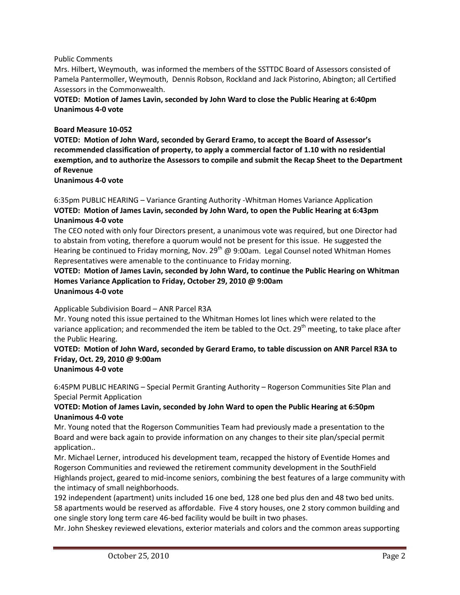#### Public Comments

Mrs. Hilbert, Weymouth, was informed the members of the SSTTDC Board of Assessors consisted of Pamela Pantermoller, Weymouth, Dennis Robson, Rockland and Jack Pistorino, Abington; all Certified Assessors in the Commonwealth.

### **VOTED: Motion of James Lavin, seconded by John Ward to close the Public Hearing at 6:40pm Unanimous 4-0 vote**

#### **Board Measure 10-052**

**VOTED: Motion of John Ward, seconded by Gerard Eramo, to accept the Board of Assessor's recommended classification of property, to apply a commercial factor of 1.10 with no residential exemption, and to authorize the Assessors to compile and submit the Recap Sheet to the Department of Revenue**

#### **Unanimous 4-0 vote**

6:35pm PUBLIC HEARING – Variance Granting Authority -Whitman Homes Variance Application **VOTED: Motion of James Lavin, seconded by John Ward, to open the Public Hearing at 6:43pm Unanimous 4-0 vote**

The CEO noted with only four Directors present, a unanimous vote was required, but one Director had to abstain from voting, therefore a quorum would not be present for this issue. He suggested the Hearing be continued to Friday morning, Nov. 29<sup>th</sup> @ 9:00am. Legal Counsel noted Whitman Homes Representatives were amenable to the continuance to Friday morning.

#### **VOTED: Motion of James Lavin, seconded by John Ward, to continue the Public Hearing on Whitman Homes Variance Application to Friday, October 29, 2010 @ 9:00am Unanimous 4-0 vote**

Applicable Subdivision Board – ANR Parcel R3A

Mr. Young noted this issue pertained to the Whitman Homes lot lines which were related to the variance application; and recommended the item be tabled to the Oct. 29<sup>th</sup> meeting, to take place after the Public Hearing.

#### **VOTED: Motion of John Ward, seconded by Gerard Eramo, to table discussion on ANR Parcel R3A to Friday, Oct. 29, 2010 @ 9:00am Unanimous 4-0 vote**

# 6:45PM PUBLIC HEARING – Special Permit Granting Authority – Rogerson Communities Site Plan and

Special Permit Application

## **VOTED: Motion of James Lavin, seconded by John Ward to open the Public Hearing at 6:50pm Unanimous 4-0 vote**

Mr. Young noted that the Rogerson Communities Team had previously made a presentation to the Board and were back again to provide information on any changes to their site plan/special permit application..

Mr. Michael Lerner, introduced his development team, recapped the history of Eventide Homes and Rogerson Communities and reviewed the retirement community development in the SouthField Highlands project, geared to mid-income seniors, combining the best features of a large community with the intimacy of small neighborhoods.

192 independent (apartment) units included 16 one bed, 128 one bed plus den and 48 two bed units. 58 apartments would be reserved as affordable. Five 4 story houses, one 2 story common building and one single story long term care 46-bed facility would be built in two phases.

Mr. John Sheskey reviewed elevations, exterior materials and colors and the common areas supporting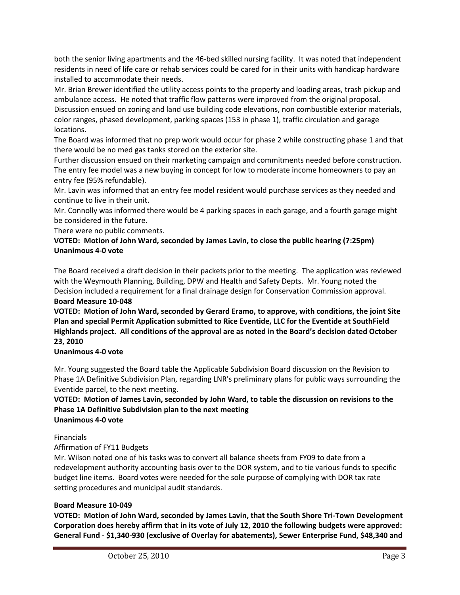both the senior living apartments and the 46-bed skilled nursing facility. It was noted that independent residents in need of life care or rehab services could be cared for in their units with handicap hardware installed to accommodate their needs.

Mr. Brian Brewer identified the utility access points to the property and loading areas, trash pickup and ambulance access. He noted that traffic flow patterns were improved from the original proposal.

Discussion ensued on zoning and land use building code elevations, non combustible exterior materials, color ranges, phased development, parking spaces (153 in phase 1), traffic circulation and garage locations.

The Board was informed that no prep work would occur for phase 2 while constructing phase 1 and that there would be no med gas tanks stored on the exterior site.

Further discussion ensued on their marketing campaign and commitments needed before construction. The entry fee model was a new buying in concept for low to moderate income homeowners to pay an entry fee (95% refundable).

Mr. Lavin was informed that an entry fee model resident would purchase services as they needed and continue to live in their unit.

Mr. Connolly was informed there would be 4 parking spaces in each garage, and a fourth garage might be considered in the future.

There were no public comments.

## **VOTED: Motion of John Ward, seconded by James Lavin, to close the public hearing (7:25pm) Unanimous 4-0 vote**

The Board received a draft decision in their packets prior to the meeting. The application was reviewed with the Weymouth Planning, Building, DPW and Health and Safety Depts. Mr. Young noted the Decision included a requirement for a final drainage design for Conservation Commission approval. **Board Measure 10-048**

**VOTED: Motion of John Ward, seconded by Gerard Eramo, to approve, with conditions, the joint Site Plan and special Permit Application submitted to Rice Eventide, LLC for the Eventide at SouthField Highlands project. All conditions of the approval are as noted in the Board's decision dated October 23, 2010**

# **Unanimous 4-0 vote**

Mr. Young suggested the Board table the Applicable Subdivision Board discussion on the Revision to Phase 1A Definitive Subdivision Plan, regarding LNR's preliminary plans for public ways surrounding the Eventide parcel, to the next meeting.

## **VOTED: Motion of James Lavin, seconded by John Ward, to table the discussion on revisions to the Phase 1A Definitive Subdivision plan to the next meeting Unanimous 4-0 vote**

## Financials

Affirmation of FY11 Budgets

Mr. Wilson noted one of his tasks was to convert all balance sheets from FY09 to date from a redevelopment authority accounting basis over to the DOR system, and to tie various funds to specific budget line items. Board votes were needed for the sole purpose of complying with DOR tax rate setting procedures and municipal audit standards.

# **Board Measure 10-049**

**VOTED: Motion of John Ward, seconded by James Lavin, that the South Shore Tri-Town Development Corporation does hereby affirm that in its vote of July 12, 2010 the following budgets were approved: General Fund - \$1,340-930 (exclusive of Overlay for abatements), Sewer Enterprise Fund, \$48,340 and**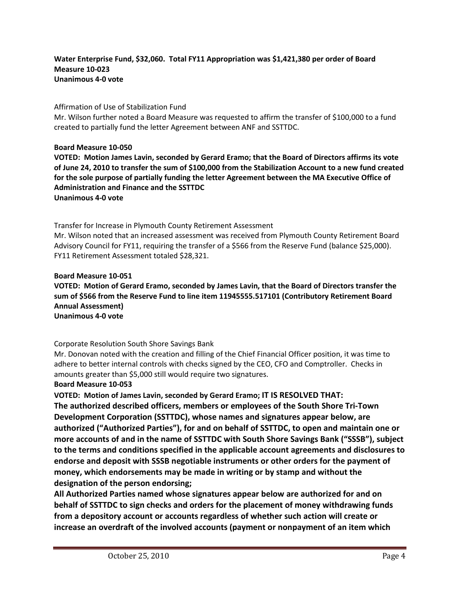### **Water Enterprise Fund, \$32,060. Total FY11 Appropriation was \$1,421,380 per order of Board Measure 10-023 Unanimous 4-0 vote**

### Affirmation of Use of Stabilization Fund

Mr. Wilson further noted a Board Measure was requested to affirm the transfer of \$100,000 to a fund created to partially fund the letter Agreement between ANF and SSTTDC.

**Board Measure 10-050**

**VOTED: Motion James Lavin, seconded by Gerard Eramo; that the Board of Directors affirms its vote of June 24, 2010 to transfer the sum of \$100,000 from the Stabilization Account to a new fund created for the sole purpose of partially funding the letter Agreement between the MA Executive Office of Administration and Finance and the SSTTDC Unanimous 4-0 vote**

Transfer for Increase in Plymouth County Retirement Assessment Mr. Wilson noted that an increased assessment was received from Plymouth County Retirement Board

Advisory Council for FY11, requiring the transfer of a \$566 from the Reserve Fund (balance \$25,000). FY11 Retirement Assessment totaled \$28,321.

#### **Board Measure 10-051**

**VOTED: Motion of Gerard Eramo, seconded by James Lavin, that the Board of Directors transfer the sum of \$566 from the Reserve Fund to line item 11945555.517101 (Contributory Retirement Board Annual Assessment) Unanimous 4-0 vote**

Corporate Resolution South Shore Savings Bank

Mr. Donovan noted with the creation and filling of the Chief Financial Officer position, it was time to adhere to better internal controls with checks signed by the CEO, CFO and Comptroller. Checks in amounts greater than \$5,000 still would require two signatures.

**Board Measure 10-053**

**VOTED: Motion of James Lavin, seconded by Gerard Eramo; IT IS RESOLVED THAT: The authorized described officers, members or employees of the South Shore Tri-Town Development Corporation (SSTTDC), whose names and signatures appear below, are authorized ("Authorized Parties"), for and on behalf of SSTTDC, to open and maintain one or more accounts of and in the name of SSTTDC with South Shore Savings Bank ("SSSB"), subject to the terms and conditions specified in the applicable account agreements and disclosures to endorse and deposit with SSSB negotiable instruments or other orders for the payment of money, which endorsements may be made in writing or by stamp and without the designation of the person endorsing;**

**All Authorized Parties named whose signatures appear below are authorized for and on behalf of SSTTDC to sign checks and orders for the placement of money withdrawing funds from a depository account or accounts regardless of whether such action will create or increase an overdraft of the involved accounts (payment or nonpayment of an item which**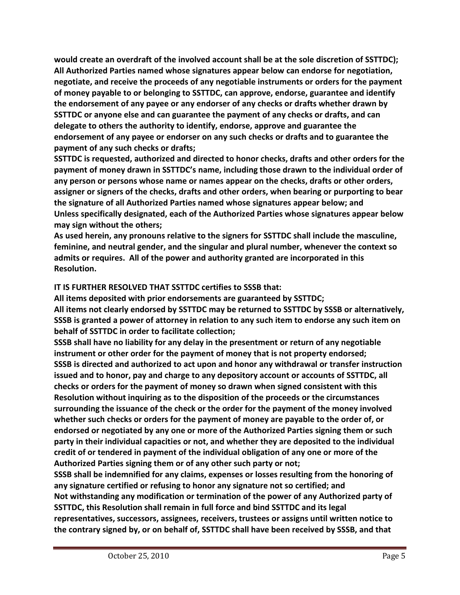**would create an overdraft of the involved account shall be at the sole discretion of SSTTDC); All Authorized Parties named whose signatures appear below can endorse for negotiation, negotiate, and receive the proceeds of any negotiable instruments or orders for the payment of money payable to or belonging to SSTTDC, can approve, endorse, guarantee and identify the endorsement of any payee or any endorser of any checks or drafts whether drawn by SSTTDC or anyone else and can guarantee the payment of any checks or drafts, and can delegate to others the authority to identify, endorse, approve and guarantee the endorsement of any payee or endorser on any such checks or drafts and to guarantee the payment of any such checks or drafts;**

**SSTTDC is requested, authorized and directed to honor checks, drafts and other orders for the payment of money drawn in SSTTDC's name, including those drawn to the individual order of any person or persons whose name or names appear on the checks, drafts or other orders, assigner or signers of the checks, drafts and other orders, when bearing or purporting to bear the signature of all Authorized Parties named whose signatures appear below; and Unless specifically designated, each of the Authorized Parties whose signatures appear below may sign without the others;**

**As used herein, any pronouns relative to the signers for SSTTDC shall include the masculine, feminine, and neutral gender, and the singular and plural number, whenever the context so admits or requires. All of the power and authority granted are incorporated in this Resolution.**

# **IT IS FURTHER RESOLVED THAT SSTTDC certifies to SSSB that:**

**All items deposited with prior endorsements are guaranteed by SSTTDC; All items not clearly endorsed by SSTTDC may be returned to SSTTDC by SSSB or alternatively, SSSB is granted a power of attorney in relation to any such item to endorse any such item on behalf of SSTTDC in order to facilitate collection;**

**SSSB shall have no liability for any delay in the presentment or return of any negotiable instrument or other order for the payment of money that is not property endorsed; SSSB is directed and authorized to act upon and honor any withdrawal or transfer instruction issued and to honor, pay and charge to any depository account or accounts of SSTTDC, all checks or orders for the payment of money so drawn when signed consistent with this Resolution without inquiring as to the disposition of the proceeds or the circumstances surrounding the issuance of the check or the order for the payment of the money involved whether such checks or orders for the payment of money are payable to the order of, or endorsed or negotiated by any one or more of the Authorized Parties signing them or such party in their individual capacities or not, and whether they are deposited to the individual credit of or tendered in payment of the individual obligation of any one or more of the Authorized Parties signing them or of any other such party or not;**

**SSSB shall be indemnified for any claims, expenses or losses resulting from the honoring of any signature certified or refusing to honor any signature not so certified; and Not withstanding any modification or termination of the power of any Authorized party of SSTTDC, this Resolution shall remain in full force and bind SSTTDC and its legal representatives, successors, assignees, receivers, trustees or assigns until written notice to the contrary signed by, or on behalf of, SSTTDC shall have been received by SSSB, and that**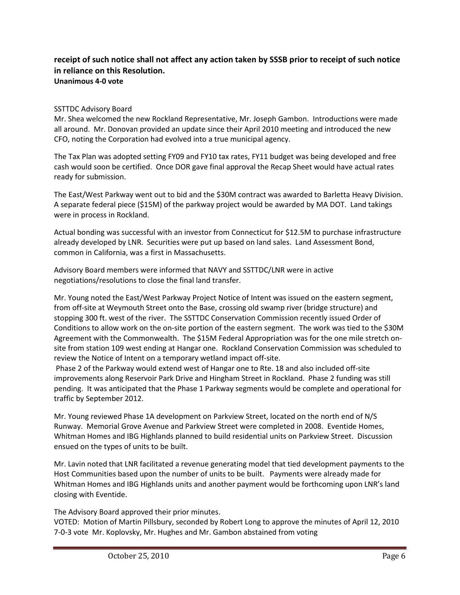#### **receipt of such notice shall not affect any action taken by SSSB prior to receipt of such notice in reliance on this Resolution. Unanimous 4-0 vote**

#### SSTTDC Advisory Board

Mr. Shea welcomed the new Rockland Representative, Mr. Joseph Gambon. Introductions were made all around. Mr. Donovan provided an update since their April 2010 meeting and introduced the new CFO, noting the Corporation had evolved into a true municipal agency.

The Tax Plan was adopted setting FY09 and FY10 tax rates, FY11 budget was being developed and free cash would soon be certified. Once DOR gave final approval the Recap Sheet would have actual rates ready for submission.

The East/West Parkway went out to bid and the \$30M contract was awarded to Barletta Heavy Division. A separate federal piece (\$15M) of the parkway project would be awarded by MA DOT. Land takings were in process in Rockland.

Actual bonding was successful with an investor from Connecticut for \$12.5M to purchase infrastructure already developed by LNR. Securities were put up based on land sales. Land Assessment Bond, common in California, was a first in Massachusetts.

Advisory Board members were informed that NAVY and SSTTDC/LNR were in active negotiations/resolutions to close the final land transfer.

Mr. Young noted the East/West Parkway Project Notice of Intent was issued on the eastern segment, from off-site at Weymouth Street onto the Base, crossing old swamp river (bridge structure) and stopping 300 ft. west of the river. The SSTTDC Conservation Commission recently issued Order of Conditions to allow work on the on-site portion of the eastern segment. The work was tied to the \$30M Agreement with the Commonwealth. The \$15M Federal Appropriation was for the one mile stretch onsite from station 109 west ending at Hangar one. Rockland Conservation Commission was scheduled to review the Notice of Intent on a temporary wetland impact off-site.

Phase 2 of the Parkway would extend west of Hangar one to Rte. 18 and also included off-site improvements along Reservoir Park Drive and Hingham Street in Rockland. Phase 2 funding was still pending. It was anticipated that the Phase 1 Parkway segments would be complete and operational for traffic by September 2012.

Mr. Young reviewed Phase 1A development on Parkview Street, located on the north end of N/S Runway. Memorial Grove Avenue and Parkview Street were completed in 2008. Eventide Homes, Whitman Homes and IBG Highlands planned to build residential units on Parkview Street. Discussion ensued on the types of units to be built.

Mr. Lavin noted that LNR facilitated a revenue generating model that tied development payments to the Host Communities based upon the number of units to be built. Payments were already made for Whitman Homes and IBG Highlands units and another payment would be forthcoming upon LNR's land closing with Eventide.

The Advisory Board approved their prior minutes.

VOTED: Motion of Martin Pillsbury, seconded by Robert Long to approve the minutes of April 12, 2010 7-0-3 vote Mr. Koplovsky, Mr. Hughes and Mr. Gambon abstained from voting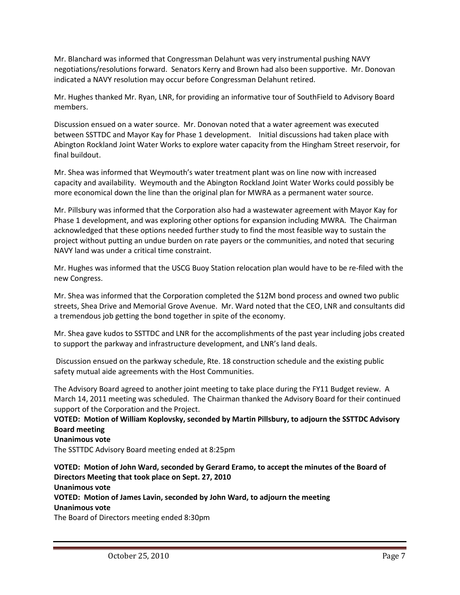Mr. Blanchard was informed that Congressman Delahunt was very instrumental pushing NAVY negotiations/resolutions forward. Senators Kerry and Brown had also been supportive. Mr. Donovan indicated a NAVY resolution may occur before Congressman Delahunt retired.

Mr. Hughes thanked Mr. Ryan, LNR, for providing an informative tour of SouthField to Advisory Board members.

Discussion ensued on a water source. Mr. Donovan noted that a water agreement was executed between SSTTDC and Mayor Kay for Phase 1 development. Initial discussions had taken place with Abington Rockland Joint Water Works to explore water capacity from the Hingham Street reservoir, for final buildout.

Mr. Shea was informed that Weymouth's water treatment plant was on line now with increased capacity and availability. Weymouth and the Abington Rockland Joint Water Works could possibly be more economical down the line than the original plan for MWRA as a permanent water source.

Mr. Pillsbury was informed that the Corporation also had a wastewater agreement with Mayor Kay for Phase 1 development, and was exploring other options for expansion including MWRA. The Chairman acknowledged that these options needed further study to find the most feasible way to sustain the project without putting an undue burden on rate payers or the communities, and noted that securing NAVY land was under a critical time constraint.

Mr. Hughes was informed that the USCG Buoy Station relocation plan would have to be re-filed with the new Congress.

Mr. Shea was informed that the Corporation completed the \$12M bond process and owned two public streets, Shea Drive and Memorial Grove Avenue. Mr. Ward noted that the CEO, LNR and consultants did a tremendous job getting the bond together in spite of the economy.

Mr. Shea gave kudos to SSTTDC and LNR for the accomplishments of the past year including jobs created to support the parkway and infrastructure development, and LNR's land deals.

Discussion ensued on the parkway schedule, Rte. 18 construction schedule and the existing public safety mutual aide agreements with the Host Communities.

The Advisory Board agreed to another joint meeting to take place during the FY11 Budget review. A March 14, 2011 meeting was scheduled. The Chairman thanked the Advisory Board for their continued support of the Corporation and the Project.

**VOTED: Motion of William Koplovsky, seconded by Martin Pillsbury, to adjourn the SSTTDC Advisory Board meeting**

#### **Unanimous vote**

The SSTTDC Advisory Board meeting ended at 8:25pm

**VOTED: Motion of John Ward, seconded by Gerard Eramo, to accept the minutes of the Board of Directors Meeting that took place on Sept. 27, 2010 Unanimous vote VOTED: Motion of James Lavin, seconded by John Ward, to adjourn the meeting Unanimous vote** The Board of Directors meeting ended 8:30pm